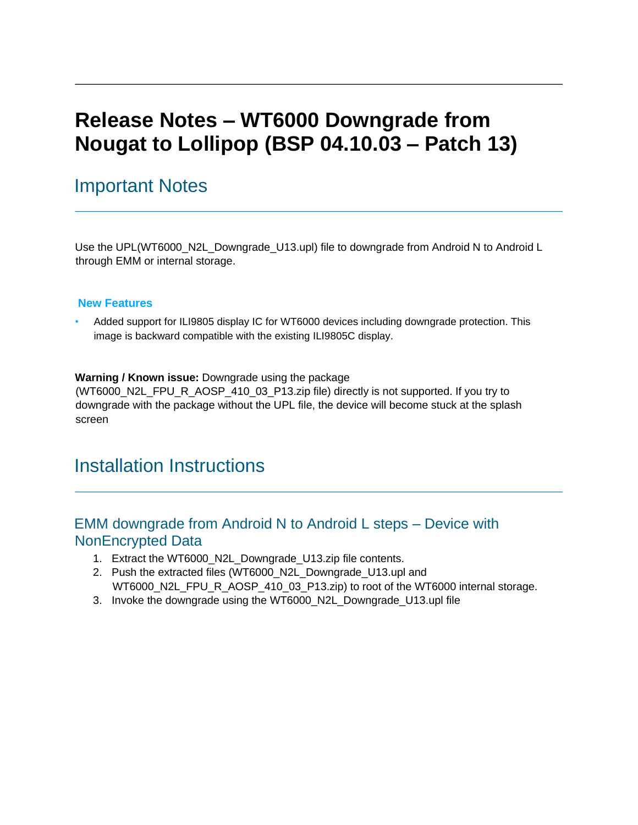# **Release Notes – WT6000 Downgrade from Nougat to Lollipop (BSP 04.10.03 – Patch 13)**

## Important Notes

Use the UPL(WT6000 N2L Downgrade U13.upl) file to downgrade from Android N to Android L through EMM or internal storage.

#### **New Features**

• Added support for ILI9805 display IC for WT6000 devices including downgrade protection. This image is backward compatible with the existing ILI9805C display.

#### **Warning / Known issue:** Downgrade using the package

(WT6000\_N2L\_FPU\_R\_AOSP\_410\_03\_P13.zip file) directly is not supported. If you try to downgrade with the package without the UPL file, the device will become stuck at the splash screen

## Installation Instructions

### EMM downgrade from Android N to Android L steps – Device with NonEncrypted Data

- 1. Extract the WT6000\_N2L\_Downgrade\_U13.zip file contents.
- 2. Push the extracted files (WT6000\_N2L\_Downgrade\_U13.upl and WT6000\_N2L\_FPU\_R\_AOSP\_410\_03\_P13.zip) to root of the WT6000 internal storage.
- 3. Invoke the downgrade using the WT6000\_N2L\_Downgrade\_U13.upl file